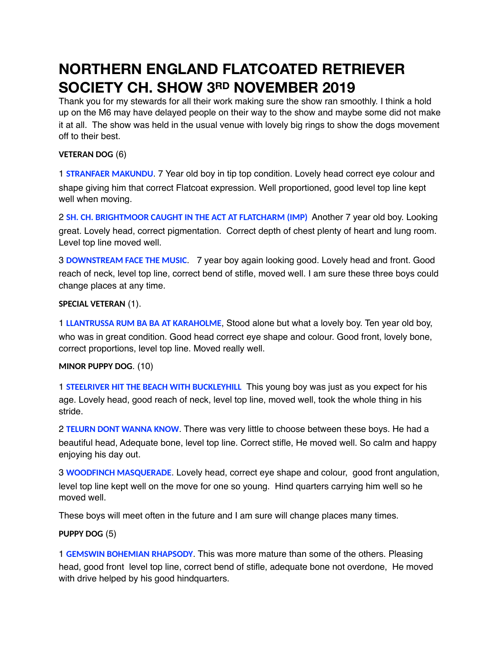# **NORTHERN ENGLAND FLATCOATED RETRIEVER SOCIETY CH. SHOW 3RD NOVEMBER 2019**

Thank you for my stewards for all their work making sure the show ran smoothly. I think a hold up on the M6 may have delayed people on their way to the show and maybe some did not make it at all. The show was held in the usual venue with lovely big rings to show the dogs movement off to their best.

# **VETERAN DOG** (6)

1 **STRANFAER MAKUNDU**. 7 Year old boy in tip top condition. Lovely head correct eye colour and shape giving him that correct Flatcoat expression. Well proportioned, good level top line kept well when moving.

2 **SH. CH. BRIGHTMOOR CAUGHT IN THE ACT AT FLATCHARM (IMP)** Another 7 year old boy. Looking great. Lovely head, correct pigmentation. Correct depth of chest plenty of heart and lung room. Level top line moved well.

3 **DOWNSTREAM FACE THE MUSIC**. 7 year boy again looking good. Lovely head and front. Good reach of neck, level top line, correct bend of stifle, moved well. I am sure these three boys could change places at any time.

# **SPECIAL VETERAN** (1).

1 **LLANTRUSSA RUM BA BA AT KARAHOLME**, Stood alone but what a lovely boy. Ten year old boy, who was in great condition. Good head correct eye shape and colour. Good front, lovely bone, correct proportions, level top line. Moved really well.

# **MINOR PUPPY DOG**. (10)

1 **STEELRIVER HIT THE BEACH WITH BUCKLEYHILL** This young boy was just as you expect for his age. Lovely head, good reach of neck, level top line, moved well, took the whole thing in his stride.

2 **TELURN DONT WANNA KNOW**. There was very little to choose between these boys. He had a beautiful head, Adequate bone, level top line. Correct stifle, He moved well. So calm and happy enjoying his day out.

3 **WOODFINCH MASQUERADE**. Lovely head, correct eye shape and colour, good front angulation, level top line kept well on the move for one so young. Hind quarters carrying him well so he moved well.

These boys will meet often in the future and I am sure will change places many times.

# **PUPPY DOG** (5)

1 **GEMSWIN BOHEMIAN RHAPSODY**. This was more mature than some of the others. Pleasing head, good front level top line, correct bend of stifle, adequate bone not overdone, He moved with drive helped by his good hindquarters.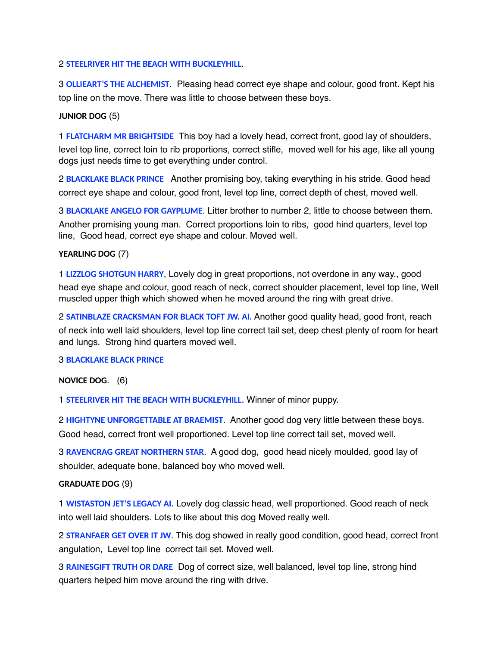#### 2 **STEELRIVER HIT THE BEACH WITH BUCKLEYHILL**.

3 **OLLIEART'S THE ALCHEMIST**. Pleasing head correct eye shape and colour, good front. Kept his top line on the move. There was little to choose between these boys.

#### **JUNIOR DOG** (5)

1 **FLATCHARM MR BRIGHTSIDE** This boy had a lovely head, correct front, good lay of shoulders, level top line, correct loin to rib proportions, correct stifle, moved well for his age, like all young dogs just needs time to get everything under control.

2 **BLACKLAKE BLACK PRINCE** Another promising boy, taking everything in his stride. Good head correct eye shape and colour, good front, level top line, correct depth of chest, moved well.

3 **BLACKLAKE ANGELO FOR GAYPLUME**. Litter brother to number 2, little to choose between them. Another promising young man. Correct proportions loin to ribs, good hind quarters, level top line, Good head, correct eye shape and colour. Moved well.

#### **YEARLING DOG** (7)

1 **LIZZLOG SHOTGUN HARRY**, Lovely dog in great proportions, not overdone in any way., good head eye shape and colour, good reach of neck, correct shoulder placement, level top line, Well muscled upper thigh which showed when he moved around the ring with great drive.

2 **SATINBLAZE CRACKSMAN FOR BLACK TOFT JW. AI.** Another good quality head, good front, reach of neck into well laid shoulders, level top line correct tail set, deep chest plenty of room for heart and lungs. Strong hind quarters moved well.

#### 3 **BLACKLAKE BLACK PRINCE**

#### **NOVICE DOG**. (6)

1 **STEELRIVER HIT THE BEACH WITH BUCKLEYHILL.** Winner of minor puppy.

2 **HIGHTYNE UNFORGETTABLE AT BRAEMIST**. Another good dog very little between these boys. Good head, correct front well proportioned. Level top line correct tail set, moved well.

3 **RAVENCRAG GREAT NORTHERN STAR**. A good dog, good head nicely moulded, good lay of shoulder, adequate bone, balanced boy who moved well.

#### **GRADUATE DOG** (9)

1 **WISTASTON JET'S LEGACY AI.** Lovely dog classic head, well proportioned. Good reach of neck into well laid shoulders. Lots to like about this dog Moved really well.

2 **STRANFAER GET OVER IT JW**. This dog showed in really good condition, good head, correct front angulation, Level top line correct tail set. Moved well.

3 **RAINESGIFT TRUTH OR DARE** Dog of correct size, well balanced, level top line, strong hind quarters helped him move around the ring with drive.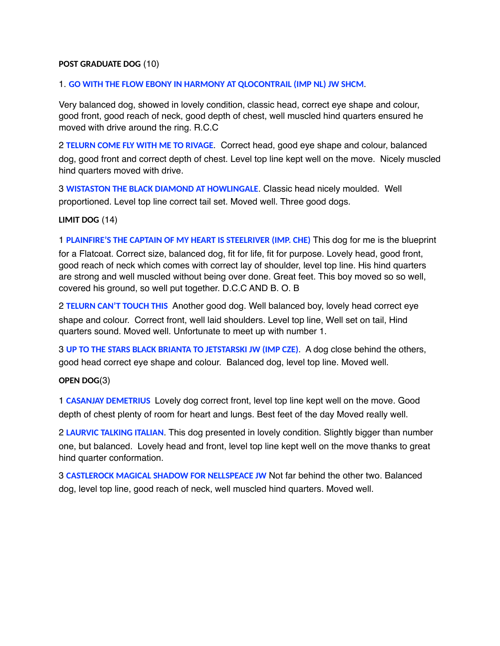### **POST GRADUATE DOG** (10)

#### 1. **GO WITH THE FLOW EBONY IN HARMONY AT QLOCONTRAIL (IMP NL) JW SHCM**.

Very balanced dog, showed in lovely condition, classic head, correct eye shape and colour, good front, good reach of neck, good depth of chest, well muscled hind quarters ensured he moved with drive around the ring. R.C.C

2 **TELURN COME FLY WITH ME TO RIVAGE**. Correct head, good eye shape and colour, balanced dog, good front and correct depth of chest. Level top line kept well on the move. Nicely muscled hind quarters moved with drive.

3 **WISTASTON THE BLACK DIAMOND AT HOWLINGALE**. Classic head nicely moulded. Well proportioned. Level top line correct tail set. Moved well. Three good dogs.

**LIMIT DOG** (14)

1 **PLAINFIRE'S THE CAPTAIN OF MY HEART IS STEELRIVER (IMP. CHE)** This dog for me is the blueprint for a Flatcoat. Correct size, balanced dog, fit for life, fit for purpose. Lovely head, good front, good reach of neck which comes with correct lay of shoulder, level top line. His hind quarters are strong and well muscled without being over done. Great feet. This boy moved so so well, covered his ground, so well put together. D.C.C AND B. O. B

2 **TELURN CAN'T TOUCH THIS** Another good dog. Well balanced boy, lovely head correct eye shape and colour. Correct front, well laid shoulders. Level top line, Well set on tail, Hind quarters sound. Moved well. Unfortunate to meet up with number 1.

3 **UP TO THE STARS BLACK BRIANTA TO JETSTARSKI JW (IMP CZE)**. A dog close behind the others, good head correct eye shape and colour. Balanced dog, level top line. Moved well.

**OPEN DOG**(3)

1 **CASANJAY DEMETRIUS** Lovely dog correct front, level top line kept well on the move. Good depth of chest plenty of room for heart and lungs. Best feet of the day Moved really well.

2 **LAURVIC TALKING ITALIAN**. This dog presented in lovely condition. Slightly bigger than number one, but balanced. Lovely head and front, level top line kept well on the move thanks to great hind quarter conformation.

3 **CASTLEROCK MAGICAL SHADOW FOR NELLSPEACE JW** Not far behind the other two. Balanced dog, level top line, good reach of neck, well muscled hind quarters. Moved well.